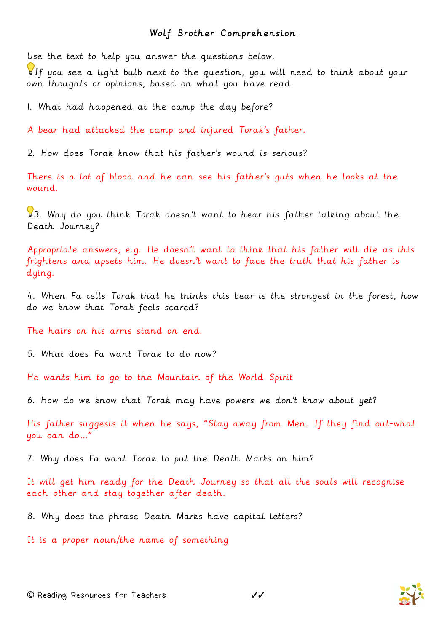## Wolf Brother Comprehension

Use the text to help you answer the questions below.

If you see a light bulb next to the question, you will need to think about your own thoughts or opinions, based on what you have read.

1. What had happened at the camp the day before?

A bear had attacked the camp and injured Torak's father.

2. How does Torak know that his father's wound is serious?

There is a lot of blood and he can see his father's guts when he looks at the wound.

 $93.$  Why do you think Torak doesn't want to hear his father talking about the Death Journey?

Appropriate answers, e.g. He doesn't want to think that his father will die as this frightens and upsets him. He doesn't want to face the truth that his father is dying.

4. When Fa tells Torak that he thinks this bear is the strongest in the forest, how do we know that Torak feels scared?

The hairs on his arms stand on end.

5. What does Fa want Torak to do now?

He wants him to go to the Mountain of the World Spirit

6. How do we know that Torak may have powers we don't know about yet?

His father suggests it when he says, "Stay away from Men. If they find out-what you can do…"

7. Why does Fa want Torak to put the Death Marks on him?

It will get him ready for the Death Journey so that all the souls will recognise each other and stay together after death.

8. Why does the phrase Death Marks have capital letters?

It is a proper noun/the name of something